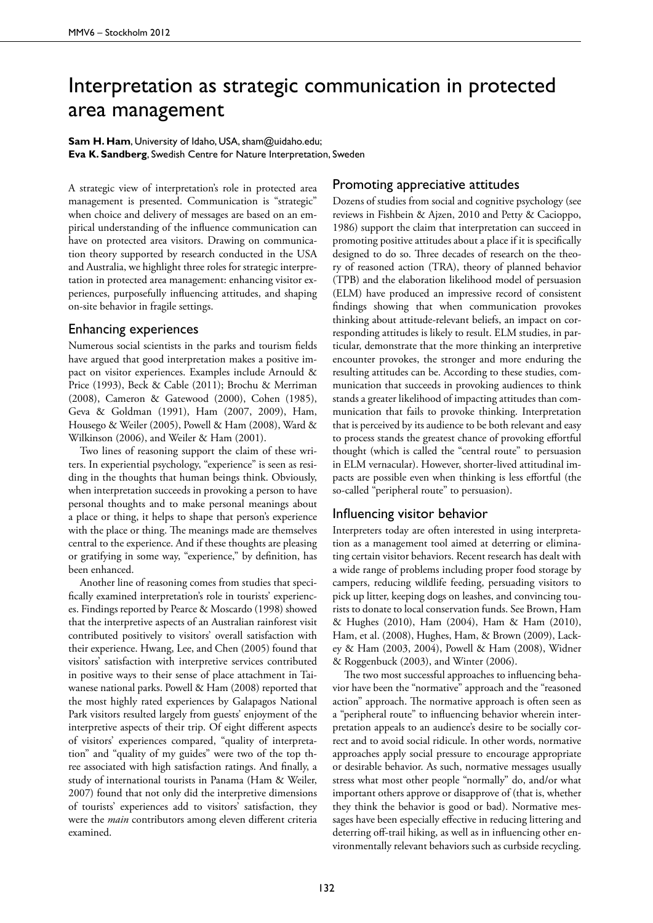## Interpretation as strategic communication in protected area management

**Sam H. Ham**, University of Idaho, USA, sham@uidaho.edu; **Eva K. Sandberg**, Swedish Centre for Nature Interpretation, Sweden

A strategic view of interpretation's role in protected area management is presented. Communication is "strategic" when choice and delivery of messages are based on an empirical understanding of the influence communication can have on protected area visitors. Drawing on communication theory supported by research conducted in the USA and Australia, we highlight three roles for strategic interpretation in protected area management: enhancing visitor experiences, purposefully influencing attitudes, and shaping on-site behavior in fragile settings.

## Enhancing experiences

Numerous social scientists in the parks and tourism fields have argued that good interpretation makes a positive impact on visitor experiences. Examples include Arnould & Price (1993), Beck & Cable (2011); Brochu & Merriman (2008), Cameron & Gatewood (2000), Cohen (1985), Geva & Goldman (1991), Ham (2007, 2009), Ham, Housego & Weiler (2005), Powell & Ham (2008), Ward & Wilkinson (2006), and Weiler & Ham (2001).

Two lines of reasoning support the claim of these writers. In experiential psychology, "experience" is seen as residing in the thoughts that human beings think. Obviously, when interpretation succeeds in provoking a person to have personal thoughts and to make personal meanings about a place or thing, it helps to shape that person's experience with the place or thing. The meanings made are themselves central to the experience. And if these thoughts are pleasing or gratifying in some way, "experience," by definition, has been enhanced.

Another line of reasoning comes from studies that specifically examined interpretation's role in tourists' experiences. Findings reported by Pearce & Moscardo (1998) showed that the interpretive aspects of an Australian rainforest visit contributed positively to visitors' overall satisfaction with their experience. Hwang, Lee, and Chen (2005) found that visitors' satisfaction with interpretive services contributed in positive ways to their sense of place attachment in Taiwanese national parks. Powell & Ham (2008) reported that the most highly rated experiences by Galapagos National Park visitors resulted largely from guests' enjoyment of the interpretive aspects of their trip. Of eight different aspects of visitors' experiences compared, "quality of interpretation" and "quality of my guides" were two of the top three associated with high satisfaction ratings. And finally, a study of international tourists in Panama (Ham & Weiler, 2007) found that not only did the interpretive dimensions of tourists' experiences add to visitors' satisfaction, they were the *main* contributors among eleven different criteria examined.

## Promoting appreciative attitudes

Dozens of studies from social and cognitive psychology (see reviews in Fishbein & Ajzen, 2010 and Petty & Cacioppo, 1986) support the claim that interpretation can succeed in promoting positive attitudes about a place if it is specifically designed to do so. Three decades of research on the theory of reasoned action (TRA), theory of planned behavior (TPB) and the elaboration likelihood model of persuasion (ELM) have produced an impressive record of consistent findings showing that when communication provokes thinking about attitude-relevant beliefs, an impact on corresponding attitudes is likely to result. ELM studies, in particular, demonstrate that the more thinking an interpretive encounter provokes, the stronger and more enduring the resulting attitudes can be. According to these studies, communication that succeeds in provoking audiences to think stands a greater likelihood of impacting attitudes than communication that fails to provoke thinking. Interpretation that is perceived by its audience to be both relevant and easy to process stands the greatest chance of provoking effortful thought (which is called the "central route" to persuasion in ELM vernacular). However, shorter-lived attitudinal impacts are possible even when thinking is less effortful (the so-called "peripheral route" to persuasion).

## Influencing visitor behavior

Interpreters today are often interested in using interpretation as a management tool aimed at deterring or eliminating certain visitor behaviors. Recent research has dealt with a wide range of problems including proper food storage by campers, reducing wildlife feeding, persuading visitors to pick up litter, keeping dogs on leashes, and convincing tourists to donate to local conservation funds. See Brown, Ham & Hughes (2010), Ham (2004), Ham & Ham (2010), Ham, et al. (2008), Hughes, Ham, & Brown (2009), Lackey & Ham (2003, 2004), Powell & Ham (2008), Widner & Roggenbuck (2003), and Winter (2006).

The two most successful approaches to influencing behavior have been the "normative" approach and the "reasoned action" approach. The normative approach is often seen as a "peripheral route" to influencing behavior wherein interpretation appeals to an audience's desire to be socially correct and to avoid social ridicule. In other words, normative approaches apply social pressure to encourage appropriate or desirable behavior. As such, normative messages usually stress what most other people "normally" do, and/or what important others approve or disapprove of (that is, whether they think the behavior is good or bad). Normative messages have been especially effective in reducing littering and deterring off-trail hiking, as well as in influencing other environmentally relevant behaviors such as curbside recycling.